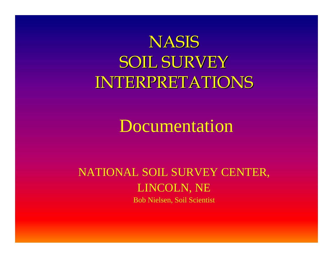# NASIS SOIL SURVEY INTERPRETATIONS INTERPRETATIONS

# Documentation

#### NATIONAL SOIL SURVEY CENTER, LINCOLN, NE Bob Nielsen, Soil Scientist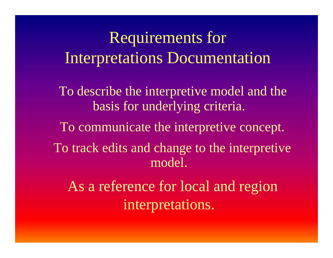Requirements for Interpretations Documentation

To describe the interpretive model and the basis for underlying criteria.

To communicate the interpretive concept.

To track edits and change to the interpretive model.

As a reference for local and region interpretations.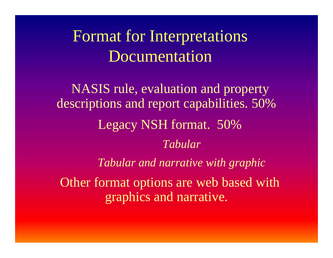Format for Interpretations **Documentation** 

NASIS rule, evaluation and property descriptions and report capabilities. 50% Legacy NSH format. 50% *TabularTabular and narrative with graphic* Other format options are web based with graphics and narrative.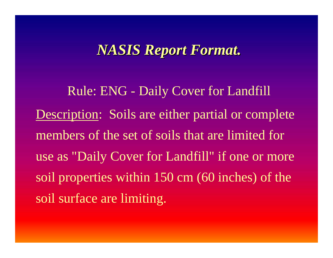### *NASIS Report Format. NASIS Report Format.*

Rule: ENG - Daily Cover for Landfill Description: Soils are either partial or complete members of the set of soils that are limited for use as "Daily Cover for Landfill" if one or more soil properties within 150 cm (60 inches) of the soil surface are limiting.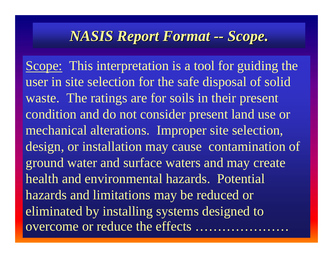### *NASIS Report Format -- Scope.*

Scope: This interpretation is a tool for guiding the user in site selection for the safe disposal of solid waste. The ratings are for soils in their present condition and do not consider present land use or mechanical alterations. Improper site selection, design, or installation may cause contamination of ground water and surface waters and may create health and environmental hazards. Potential hazards and limitations may be reduced or eliminated by installing systems designed to overcome or reduce the effects...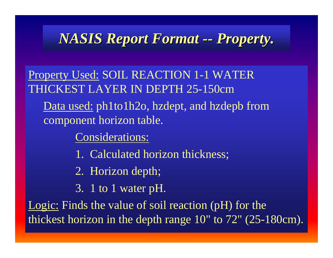### *NASIS Report Format -- Property.*

Property Used: SOIL REACTION 1-1 WATER THICKEST LAYER IN DEPTH 25-150cm

Data used: ph1to1h2o, hzdept, and hzdepb from component horizon table.

Considerations:

1. Calculated horizon thickness;

2. Horizon depth;

3. 1 to 1 water pH.

Logic: Finds the value of soil reaction (pH) for the thickest horizon in the depth range 10" to 72" (25-180cm).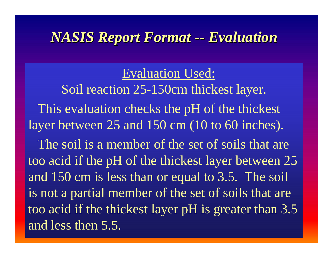### *NASIS Report Format -- Evaluation*

#### Evaluation Used:

Soil reaction 25-150cm thickest layer. This evaluation checks the pH of the thickest layer between 25 and 150 cm (10 to 60 inches). The soil is a member of the set of soils that are too acid if the pH of the thickest layer between 25 and 150 cm is less than or equal to 3.5. The soil is not a partial member of the set of soils that are too acid if the thickest layer pH is greater than 3.5 and less then 5.5.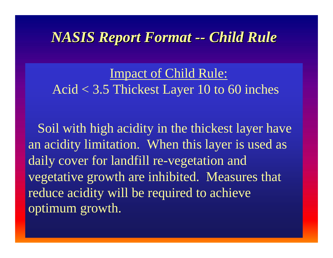### *NASIS Report Format -- Child Rule*

Impact of Child Rule: Acid < 3.5 Thickest Layer 10 to 60 inches

Soil with high acidity in the thickest layer have an acidity limitation. When this layer is used as daily cover for landfill re-vegetation and vegetative growth are inhibited. Measures that reduce acidity will be required to achieve optimum growth.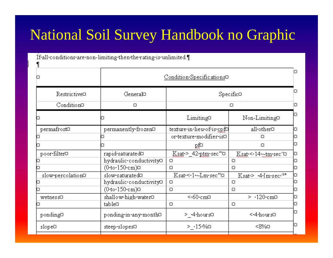# National Soil Survey Handbook no Graphic

| o                 | Condition-SpecificationsO | o                          |                                                          |        |
|-------------------|---------------------------|----------------------------|----------------------------------------------------------|--------|
| RestrictiveO      | General¤                  | SpecificO<br>o             |                                                          | O<br>O |
| Conditiona        | σ                         |                            |                                                          |        |
|                   |                           | LimitingO                  | Non-LimitingO                                            | Þ      |
| permafrosto       | permanently-frozenO       | texture in lieu of is cpfC | all-otherO                                               | o      |
|                   |                           | or texture modifier isO    | o                                                        | o      |
|                   |                           | pf¤                        | O.                                                       | lo     |
| poor-filterO      | rapid-saturatedO          | Ksat > 42 ptm sec "0       | Ksat < 14 ~tm sec '0                                     |        |
|                   | hydraulic-conductivityO   | O                          | O                                                        | o      |
|                   | $(0 to 150 cm)$ $\sigma$  | O                          | O                                                        | o      |
| slow-percolationO | slow-saturatedO           | Ksat-<-1-~Lm-sec"©         | $K$ sat > $-4$ - $\lceil m \rceil$ sec $-1$ <sup>n</sup> |        |
|                   | hydraulic-conductivityO   | $\Omega$                   | O                                                        |        |
|                   | (0 to 150 cm)             | O                          | Ö                                                        | o      |
| wetnessO          | shallow-high-waterO       | < 60 cm0                   | > 120 cm0                                                | o      |
|                   | tableO                    | O                          | O                                                        | o      |
| pondinga          | ponding-in-any-monthO     | > 4 hours0                 | $\leq$ 4 hours $\alpha$                                  | Iо     |
| slopeO            | steep-slopesO             | $> 15\%$ a                 | $<8%$ ¤                                                  | Įа     |
|                   |                           |                            |                                                          |        |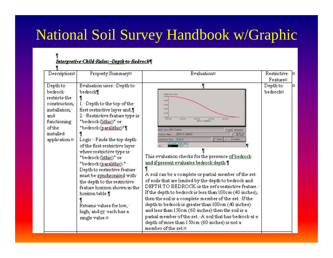## National Soil Survey Handbook w/Graphic

| Description                                                                                                                                           | Property Summary <sup>3</sup>                                                                                                                                                                                                                                                                                                                                                                                                                                                                                                                                           | Evaluation                                                                                                                                                                                                                                                                                                                                                                                                                                                                                                                                                                                                                                                                                                                                                                                                                                                                                                                                                                                                   | Restrictive:<br>Featuretz |
|-------------------------------------------------------------------------------------------------------------------------------------------------------|-------------------------------------------------------------------------------------------------------------------------------------------------------------------------------------------------------------------------------------------------------------------------------------------------------------------------------------------------------------------------------------------------------------------------------------------------------------------------------------------------------------------------------------------------------------------------|--------------------------------------------------------------------------------------------------------------------------------------------------------------------------------------------------------------------------------------------------------------------------------------------------------------------------------------------------------------------------------------------------------------------------------------------------------------------------------------------------------------------------------------------------------------------------------------------------------------------------------------------------------------------------------------------------------------------------------------------------------------------------------------------------------------------------------------------------------------------------------------------------------------------------------------------------------------------------------------------------------------|---------------------------|
| Depth-to-<br>bedrock.<br>restricts the<br>construction.<br>installation.<br>and.<br>functioning.<br>of the<br>installed<br>application. <sup>22</sup> | Evaluation uses: Depth to<br>bedrock<br>1. Depth to the top of the<br>first restrictive layer and; []<br>2. Restrictive feature type is<br>"bedrock (lithic)" or<br>"bedrock (paralithic)"]<br>Logic: Finds the top depth-<br>of the first restrictive layer<br>where restrictive type is<br>"bedrock (lithic)" or<br>"bedrock (paralithic)." ··<br>Depth to restrictive feature<br>must be synchronized with<br>the depth to the restrictive<br>feature horizon shown in the<br>horizon table.<br>Returns values for low,<br>high, and ry each has a<br>single value.¤ | Pleadour shi at Vial in<br>1,788<br>0,004<br><b>DOM</b><br>0.400<br>0.204<br>0.004<br>118,000<br>£36,000<br>140,800<br>\$50,000<br>900,000<br><b>DEPTH TO BEDROEK</b><br>Institut [Instit]<br>WEIL Lite: MSC Pangaeo<br><b>Batt</b><br>DIFTH TO BEIROON<br>moerty Have<br>F Inset<br>In Domin<br>alustion Type:<br>Signold<br>U Sabar - High Value<br>This evaluation checks for the presence of bedrock<br>and if present evaluates bedrock depth.<br>A soil can be a complete or partial member of the set-<br>of soils that are limited by the depth to bedrock and<br>DEPTH-TO-BEDROCK-is-the-set's-restrictive-feature<br>If the depth to bedrock is less than 100cm (40 inches),<br>then the soil is a complete member of the set. If the<br>depth to bedrock is greater than 100cm (40 inches).<br>and less than 150cm (60 inches) then the soil is a<br>partial member of the set. A soil that has bedrock at a<br>depth of more than 150cm (60 inches) is not a<br>member of the set. <sup>22</sup> | Depth to:<br>bedrock      |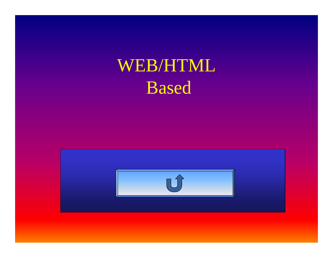# WEB/HTML Based